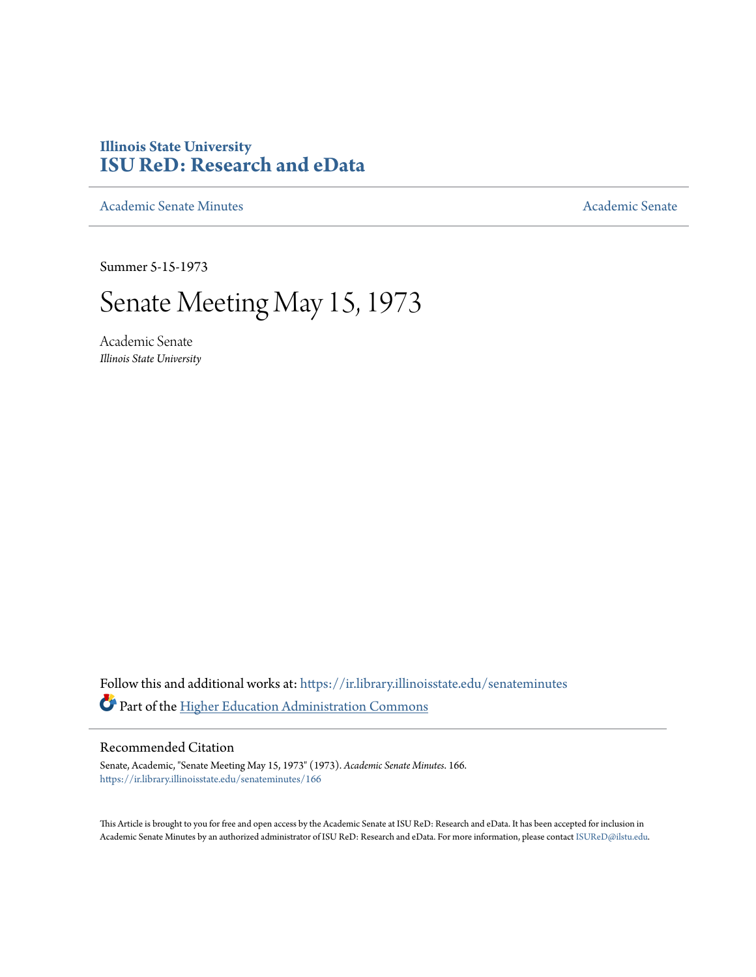## **Illinois State University [ISU ReD: Research and eData](https://ir.library.illinoisstate.edu?utm_source=ir.library.illinoisstate.edu%2Fsenateminutes%2F166&utm_medium=PDF&utm_campaign=PDFCoverPages)**

[Academic Senate Minutes](https://ir.library.illinoisstate.edu/senateminutes?utm_source=ir.library.illinoisstate.edu%2Fsenateminutes%2F166&utm_medium=PDF&utm_campaign=PDFCoverPages) [Academic Senate](https://ir.library.illinoisstate.edu/senate?utm_source=ir.library.illinoisstate.edu%2Fsenateminutes%2F166&utm_medium=PDF&utm_campaign=PDFCoverPages) Academic Senate

Summer 5-15-1973

## Senate Meeting May 15, 1973

Academic Senate *Illinois State University*

Follow this and additional works at: [https://ir.library.illinoisstate.edu/senateminutes](https://ir.library.illinoisstate.edu/senateminutes?utm_source=ir.library.illinoisstate.edu%2Fsenateminutes%2F166&utm_medium=PDF&utm_campaign=PDFCoverPages) Part of the [Higher Education Administration Commons](http://network.bepress.com/hgg/discipline/791?utm_source=ir.library.illinoisstate.edu%2Fsenateminutes%2F166&utm_medium=PDF&utm_campaign=PDFCoverPages)

## Recommended Citation

Senate, Academic, "Senate Meeting May 15, 1973" (1973). *Academic Senate Minutes*. 166. [https://ir.library.illinoisstate.edu/senateminutes/166](https://ir.library.illinoisstate.edu/senateminutes/166?utm_source=ir.library.illinoisstate.edu%2Fsenateminutes%2F166&utm_medium=PDF&utm_campaign=PDFCoverPages)

This Article is brought to you for free and open access by the Academic Senate at ISU ReD: Research and eData. It has been accepted for inclusion in Academic Senate Minutes by an authorized administrator of ISU ReD: Research and eData. For more information, please contact [ISUReD@ilstu.edu.](mailto:ISUReD@ilstu.edu)